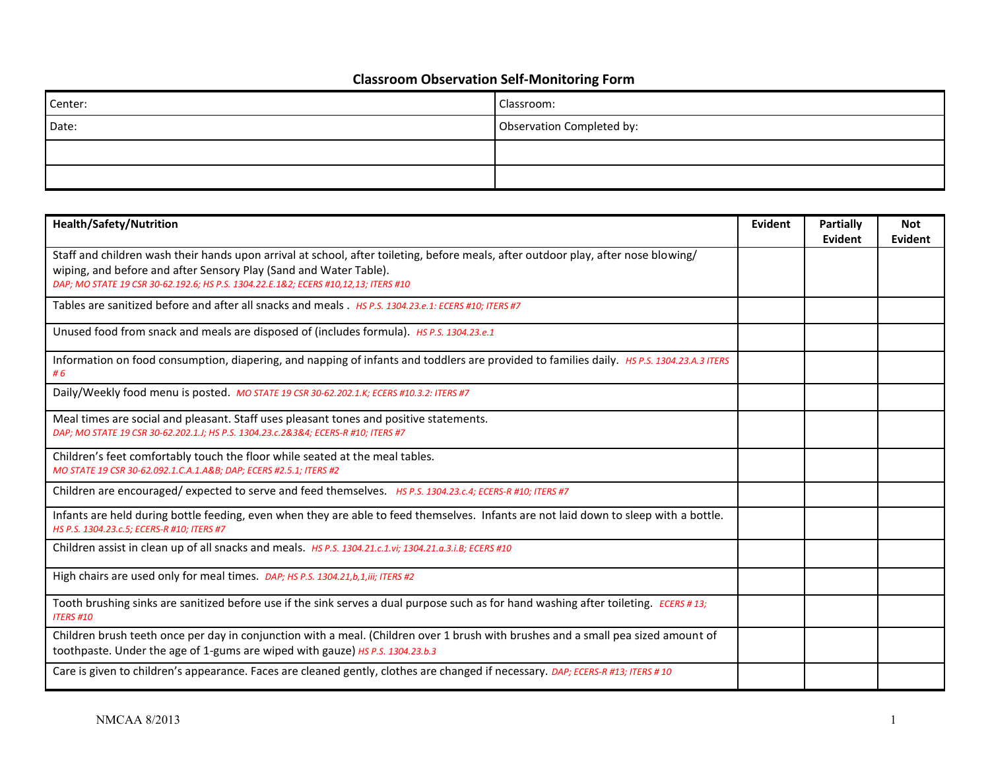## **Classroom Observation Self-Monitoring Form**

| Center: | Classroom:                |
|---------|---------------------------|
| Date:   | Observation Completed by: |
|         |                           |
|         |                           |

| <b>Health/Safety/Nutrition</b>                                                                                                                                                                                                                                                                 | Evident | Partially<br>Evident | <b>Not</b><br>Evident |
|------------------------------------------------------------------------------------------------------------------------------------------------------------------------------------------------------------------------------------------------------------------------------------------------|---------|----------------------|-----------------------|
| Staff and children wash their hands upon arrival at school, after toileting, before meals, after outdoor play, after nose blowing/<br>wiping, and before and after Sensory Play (Sand and Water Table).<br>DAP; MO STATE 19 CSR 30-62.192.6; HS P.S. 1304.22.E.1&2; ECERS #10,12,13; ITERS #10 |         |                      |                       |
| Tables are sanitized before and after all snacks and meals . Hs P.S. 1304.23.e.1: ECERS #10: ITERS #7                                                                                                                                                                                          |         |                      |                       |
| Unused food from snack and meals are disposed of (includes formula). Hs P.S. 1304.23.e.1                                                                                                                                                                                                       |         |                      |                       |
| Information on food consumption, diapering, and napping of infants and toddlers are provided to families daily. HS P.S. 1304.23.A.3 ITERS<br>#6                                                                                                                                                |         |                      |                       |
| Daily/Weekly food menu is posted. MO STATE 19 CSR 30-62.202.1.K; ECERS #10.3.2: ITERS #7                                                                                                                                                                                                       |         |                      |                       |
| Meal times are social and pleasant. Staff uses pleasant tones and positive statements.<br>DAP; MO STATE 19 CSR 30-62.202.1.J; HS P.S. 1304.23.c.2&3&4; ECERS-R #10; ITERS #7                                                                                                                   |         |                      |                       |
| Children's feet comfortably touch the floor while seated at the meal tables.<br>MO STATE 19 CSR 30-62.092.1.C.A.1.A&B DAP; ECERS #2.5.1; ITERS #2                                                                                                                                              |         |                      |                       |
| Children are encouraged/expected to serve and feed themselves. HS P.S. 1304.23.c.4; ECERS-R #10; ITERS #7                                                                                                                                                                                      |         |                      |                       |
| Infants are held during bottle feeding, even when they are able to feed themselves. Infants are not laid down to sleep with a bottle.<br>HS P.S. 1304.23.c.5; ECERS-R #10; ITERS #7                                                                                                            |         |                      |                       |
| Children assist in clean up of all snacks and meals. Hs P.S. 1304.21.c.1.vi; 1304.21.a.3.i.B; ECERS #10                                                                                                                                                                                        |         |                      |                       |
| High chairs are used only for meal times. DAP; HS P.S. 1304.21,b,1,iii; ITERS #2                                                                                                                                                                                                               |         |                      |                       |
| Tooth brushing sinks are sanitized before use if the sink serves a dual purpose such as for hand washing after toileting. ECERS #13;<br><b>ITERS #10</b>                                                                                                                                       |         |                      |                       |
| Children brush teeth once per day in conjunction with a meal. (Children over 1 brush with brushes and a small pea sized amount of<br>toothpaste. Under the age of 1-gums are wiped with gauze) HS P.S. 1304.23.b.3                                                                             |         |                      |                       |
| Care is given to children's appearance. Faces are cleaned gently, clothes are changed if necessary. DAP; ECERS-R #13; ITERS #10                                                                                                                                                                |         |                      |                       |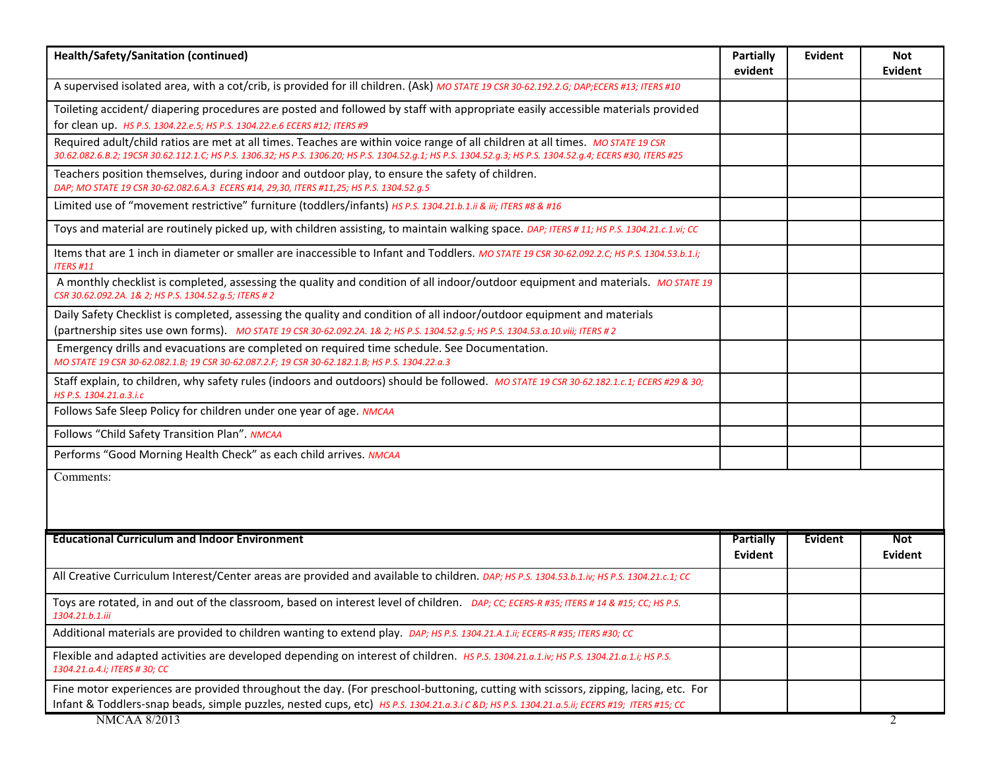| Health/Safety/Sanitation (continued)                                                                                                                                                                                                                                                          | <b>Partially</b><br>evident | <b>Evident</b> | Not<br>Evident        |
|-----------------------------------------------------------------------------------------------------------------------------------------------------------------------------------------------------------------------------------------------------------------------------------------------|-----------------------------|----------------|-----------------------|
| A supervised isolated area, with a cot/crib, is provided for ill children. (Ask) MO STATE 19 CSR 30-62.192.2.G; DAP;ECERS #13; ITERS #10                                                                                                                                                      |                             |                |                       |
| Toileting accident/ diapering procedures are posted and followed by staff with appropriate easily accessible materials provided<br>for clean up. HS P.S. 1304.22.e.5; HS P.S. 1304.22.e.6 ECERS #12; ITERS #9                                                                                 |                             |                |                       |
| Required adult/child ratios are met at all times. Teaches are within voice range of all children at all times. MO STATE 19 CSR<br>30.62.082.6.B.2; 19CSR 30.62.112.1.C; HS P.S. 1306.32; HS P.S. 1306.20; HS P.S. 1304.52.g.1; HS P.S. 1304.52.g.3; HS P.S. 1304.52.g.4; ECERS #30, ITERS #25 |                             |                |                       |
| Teachers position themselves, during indoor and outdoor play, to ensure the safety of children.<br>DAP; MO STATE 19 CSR 30-62.082.6.A.3 ECERS #14, 29,30, ITERS #11,25; HS P.S. 1304.52.g.5                                                                                                   |                             |                |                       |
| Limited use of "movement restrictive" furniture (toddlers/infants) HS P.S. 1304.21.b.1.ii & iii; ITERS #8 & #16                                                                                                                                                                               |                             |                |                       |
| Toys and material are routinely picked up, with children assisting, to maintain walking space. DAP; ITERS #11; HS P.S. 1304.21.c.1.vi; CC                                                                                                                                                     |                             |                |                       |
| Items that are 1 inch in diameter or smaller are inaccessible to Infant and Toddlers. MO STATE 19 CSR 30-62.092.2.C; HS P.S. 1304.53.b.1.i;<br><b>ITERS #11</b>                                                                                                                               |                             |                |                       |
| A monthly checklist is completed, assessing the quality and condition of all indoor/outdoor equipment and materials. Mo STATE 19<br>CSR 30.62.092.2A. 1& 2; HS P.S. 1304.52.g.5; ITERS # 2                                                                                                    |                             |                |                       |
| Daily Safety Checklist is completed, assessing the quality and condition of all indoor/outdoor equipment and materials<br>(partnership sites use own forms). Mo STATE 19 CSR 30-62.092.2A. 1& 2; HS P.S. 1304.52.g.5; HS P.S. 1304.53.a.10.viii; ITERS # 2                                    |                             |                |                       |
| Emergency drills and evacuations are completed on required time schedule. See Documentation.<br>MO STATE 19 CSR 30-62.082.1.B; 19 CSR 30-62.087.2.F; 19 CSR 30-62.182.1.B; HS P.S. 1304.22.a.3                                                                                                |                             |                |                       |
| Staff explain, to children, why safety rules (indoors and outdoors) should be followed. MO STATE 19 CSR 30-62.182.1.c.1; ECERS #29 & 30;<br>HS P.S. 1304.21.a.3.i.c                                                                                                                           |                             |                |                       |
| Follows Safe Sleep Policy for children under one year of age. NMCAA                                                                                                                                                                                                                           |                             |                |                       |
| Follows "Child Safety Transition Plan". NMCAA                                                                                                                                                                                                                                                 |                             |                |                       |
| Performs "Good Morning Health Check" as each child arrives. NMCAA                                                                                                                                                                                                                             |                             |                |                       |
| Comments:                                                                                                                                                                                                                                                                                     |                             |                |                       |
| <b>Educational Curriculum and Indoor Environment</b>                                                                                                                                                                                                                                          | Partially<br>Evident        | <b>Evident</b> | <b>Not</b><br>Evident |
| All Creative Curriculum Interest/Center areas are provided and available to children. DAP; HS P.S. 1304.53.b.1.iv; HS P.S. 1304.21.c.1; CC                                                                                                                                                    |                             |                |                       |
| Toys are rotated, in and out of the classroom, based on interest level of children. DAP; CC; ECERS-R #35; ITERS # 14 & #15; CC; HS P.S.<br>1304.21.b.1.iii                                                                                                                                    |                             |                |                       |
| Additional materials are provided to children wanting to extend play. DAP; HS P.S. 1304.21.A.1.ii; ECERS-R #35; ITERS #30; CC                                                                                                                                                                 |                             |                |                       |
| Flexible and adapted activities are developed depending on interest of children. Hs P.S. 1304.21.a.1.iv; HS P.S. 1304.21.a.1.i; HS P.S.<br>1304.21.a.4.i: ITERS # 30: CC                                                                                                                      |                             |                |                       |
| Fine motor experiences are provided throughout the day. (For preschool-buttoning, cutting with scissors, zipping, lacing, etc. For<br>Infant & Toddlers-snap beads, simple puzzles, nested cups, etc) HS P.S. 1304.21.a.3.i C &D HS P.S. 1304.21.a.5.ii; ECERS #19; ITERS #15; CC             |                             |                |                       |
| <b>NMCAA 8/2013</b>                                                                                                                                                                                                                                                                           |                             |                | 2                     |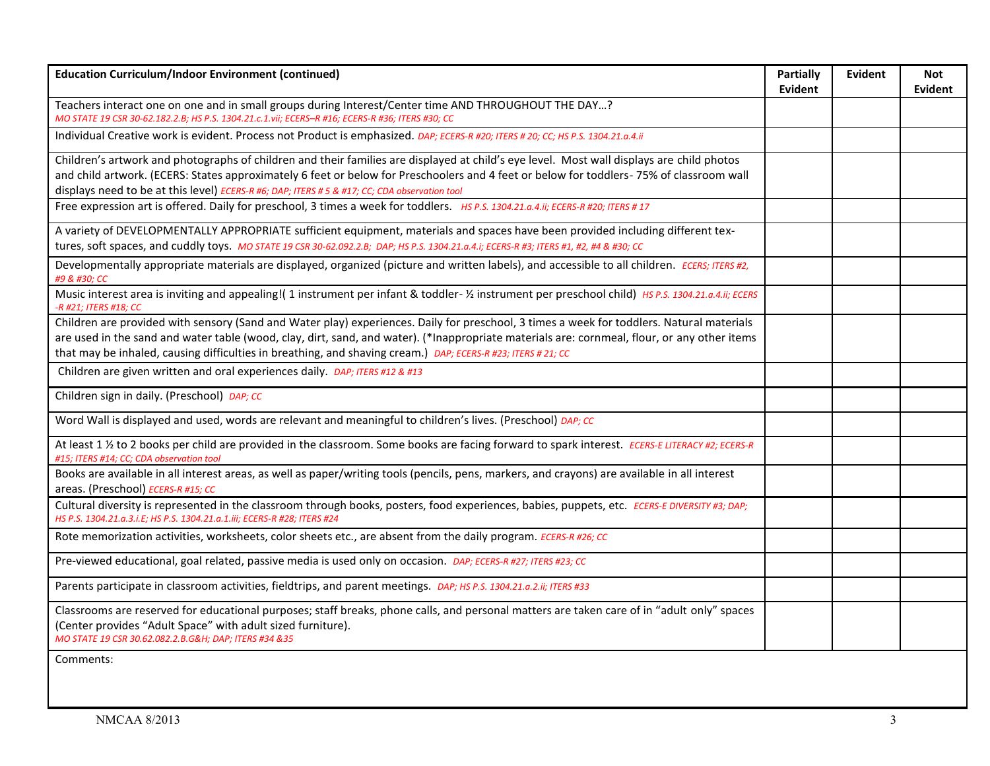| <b>Education Curriculum/Indoor Environment (continued)</b>                                                                                                                                                                                                                                                                                                                             | <b>Partially</b><br><b>Evident</b> | Evident | Not<br>Evident |
|----------------------------------------------------------------------------------------------------------------------------------------------------------------------------------------------------------------------------------------------------------------------------------------------------------------------------------------------------------------------------------------|------------------------------------|---------|----------------|
| Teachers interact one on one and in small groups during Interest/Center time AND THROUGHOUT THE DAY?<br>MO STATE 19 CSR 30-62.182.2.B; HS P.S. 1304.21.c.1.vii; ECERS-R #16; ECERS-R #36; ITERS #30; CC                                                                                                                                                                                |                                    |         |                |
| Individual Creative work is evident. Process not Product is emphasized. DAP; ECERS-R #20; ITERS #20; CC; HS P.S. 1304.21.a.4.ii                                                                                                                                                                                                                                                        |                                    |         |                |
| Children's artwork and photographs of children and their families are displayed at child's eye level. Most wall displays are child photos<br>and child artwork. (ECERS: States approximately 6 feet or below for Preschoolers and 4 feet or below for toddlers- 75% of classroom wall<br>displays need to be at this level) ECERS-R #6; DAP; ITERS # 5 & #17; CC; CDA observation tool |                                    |         |                |
| Free expression art is offered. Daily for preschool, 3 times a week for toddlers. HS P.S. 1304.21.a.4.ii; ECERS-R #20; ITERS #17                                                                                                                                                                                                                                                       |                                    |         |                |
| A variety of DEVELOPMENTALLY APPROPRIATE sufficient equipment, materials and spaces have been provided including different tex-<br>tures, soft spaces, and cuddly toys. MO STATE 19 CSR 30-62.092.2.B; DAP; HS P.S. 1304.21.a.4.i; ECERS-R #3; ITERS #1, #2, #4 & #30; CC                                                                                                              |                                    |         |                |
| Developmentally appropriate materials are displayed, organized (picture and written labels), and accessible to all children. ECERS; ITERS #2,<br>#9 & #30; CC                                                                                                                                                                                                                          |                                    |         |                |
| Music interest area is inviting and appealing!(1 instrument per infant & toddler- % instrument per preschool child) HS P.S. 1304.21.a.4.ii; ECERS<br>-R #21; ITERS #18; CC                                                                                                                                                                                                             |                                    |         |                |
| Children are provided with sensory (Sand and Water play) experiences. Daily for preschool, 3 times a week for toddlers. Natural materials                                                                                                                                                                                                                                              |                                    |         |                |
| are used in the sand and water table (wood, clay, dirt, sand, and water). (*Inappropriate materials are: cornmeal, flour, or any other items<br>that may be inhaled, causing difficulties in breathing, and shaving cream.) DAP; ECERS-R #23; ITERS #21; CC                                                                                                                            |                                    |         |                |
| Children are given written and oral experiences daily. DAP; ITERS #12 & #13                                                                                                                                                                                                                                                                                                            |                                    |         |                |
| Children sign in daily. (Preschool) DAP; CC                                                                                                                                                                                                                                                                                                                                            |                                    |         |                |
| Word Wall is displayed and used, words are relevant and meaningful to children's lives. (Preschool) DAP; CC                                                                                                                                                                                                                                                                            |                                    |         |                |
| At least 1 1/2 to 2 books per child are provided in the classroom. Some books are facing forward to spark interest. ECERS-E LITERACY #2; ECERS-R<br>#15; ITERS #14; CC; CDA observation tool                                                                                                                                                                                           |                                    |         |                |
| Books are available in all interest areas, as well as paper/writing tools (pencils, pens, markers, and crayons) are available in all interest<br>areas. (Preschool) ECERS-R #15; CC                                                                                                                                                                                                    |                                    |         |                |
| Cultural diversity is represented in the classroom through books, posters, food experiences, babies, puppets, etc. ECERS-E DIVERSITY #3; DAP;<br>HS P.S. 1304.21.a.3.i.E; HS P.S. 1304.21.a.1.iii; ECERS-R #28; ITERS #24                                                                                                                                                              |                                    |         |                |
| Rote memorization activities, worksheets, color sheets etc., are absent from the daily program. ECERS-R #26; CC                                                                                                                                                                                                                                                                        |                                    |         |                |
| Pre-viewed educational, goal related, passive media is used only on occasion. DAP; ECERS-R #27; ITERS #23; CC                                                                                                                                                                                                                                                                          |                                    |         |                |
| Parents participate in classroom activities, fieldtrips, and parent meetings. DAP; HS P.S. 1304.21.a.2.ii; ITERS #33                                                                                                                                                                                                                                                                   |                                    |         |                |
| Classrooms are reserved for educational purposes; staff breaks, phone calls, and personal matters are taken care of in "adult only" spaces<br>(Center provides "Adult Space" with adult sized furniture).<br>MO STATE 19 CSR 30.62.082.2.B.G&H DAP; ITERS #34 &35                                                                                                                      |                                    |         |                |
| Comments:                                                                                                                                                                                                                                                                                                                                                                              |                                    |         |                |
|                                                                                                                                                                                                                                                                                                                                                                                        |                                    |         |                |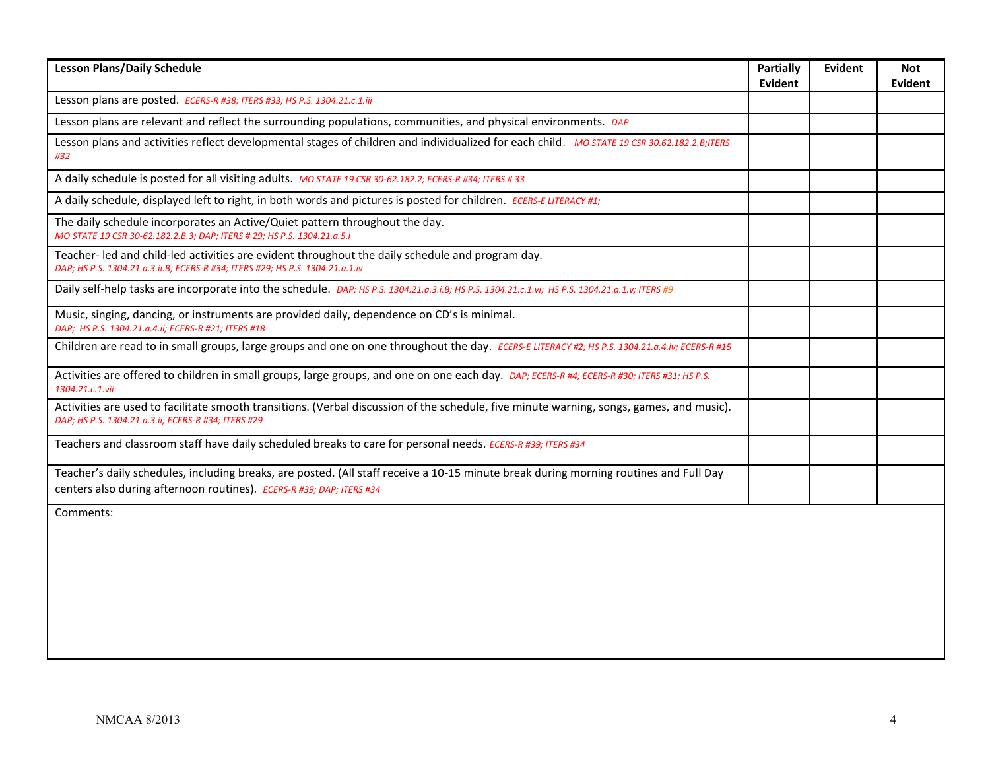| <b>Lesson Plans/Daily Schedule</b>                                                                                                                                                                            | <b>Partially</b><br><b>Evident</b> | <b>Evident</b> | Not<br><b>Evident</b> |
|---------------------------------------------------------------------------------------------------------------------------------------------------------------------------------------------------------------|------------------------------------|----------------|-----------------------|
| Lesson plans are posted. ECERS-R #38; ITERS #33; HS P.S. 1304.21.c.1.iii                                                                                                                                      |                                    |                |                       |
| Lesson plans are relevant and reflect the surrounding populations, communities, and physical environments. DAP                                                                                                |                                    |                |                       |
| Lesson plans and activities reflect developmental stages of children and individualized for each child. MO STATE 19 CSR 30.62.182.2.B;ITERS<br>#32                                                            |                                    |                |                       |
| A daily schedule is posted for all visiting adults. MO STATE 19 CSR 30-62.182.2; ECERS-R #34; ITERS #33                                                                                                       |                                    |                |                       |
| A daily schedule, displayed left to right, in both words and pictures is posted for children. ECERS-E LITERACY #1;                                                                                            |                                    |                |                       |
| The daily schedule incorporates an Active/Quiet pattern throughout the day.<br>MO STATE 19 CSR 30-62.182.2.B.3; DAP; ITERS # 29; HS P.S. 1304.21.a.5.i                                                        |                                    |                |                       |
| Teacher- led and child-led activities are evident throughout the daily schedule and program day.<br>DAP; HS P.S. 1304.21.a.3.ii.B; ECERS-R #34; ITERS #29; HS P.S. 1304.21.a.1.iv                             |                                    |                |                       |
| Daily self-help tasks are incorporate into the schedule. DAP; HS P.S. 1304.21.a.3.i.B; HS P.S. 1304.21.c.1.vi; HS P.S. 1304.21.a.1.v; ITERS #9                                                                |                                    |                |                       |
| Music, singing, dancing, or instruments are provided daily, dependence on CD's is minimal.<br>DAP; HS P.S. 1304.21.a.4.ii; ECERS-R #21; ITERS #18                                                             |                                    |                |                       |
| Children are read to in small groups, large groups and one on one throughout the day. ECERS-E LITERACY #2; HS P.S. 1304.21.a.4.iv; ECERS-R #15                                                                |                                    |                |                       |
| Activities are offered to children in small groups, large groups, and one on one each day. DAP; ECERS-R #4; ECERS-R #30; ITERS #31; HS P.S.<br>1304.21.c.1.vii                                                |                                    |                |                       |
| Activities are used to facilitate smooth transitions. (Verbal discussion of the schedule, five minute warning, songs, games, and music).<br>DAP; HS P.S. 1304.21.a.3.ii; ECERS-R #34; ITERS #29               |                                    |                |                       |
| Teachers and classroom staff have daily scheduled breaks to care for personal needs. ECERS-R #39; ITERS #34                                                                                                   |                                    |                |                       |
| Teacher's daily schedules, including breaks, are posted. (All staff receive a 10-15 minute break during morning routines and Full Day<br>centers also during afternoon routines). ECERS-R #39; DAP; ITERS #34 |                                    |                |                       |
| Comments:                                                                                                                                                                                                     |                                    |                |                       |
|                                                                                                                                                                                                               |                                    |                |                       |
|                                                                                                                                                                                                               |                                    |                |                       |
|                                                                                                                                                                                                               |                                    |                |                       |
|                                                                                                                                                                                                               |                                    |                |                       |
|                                                                                                                                                                                                               |                                    |                |                       |
|                                                                                                                                                                                                               |                                    |                |                       |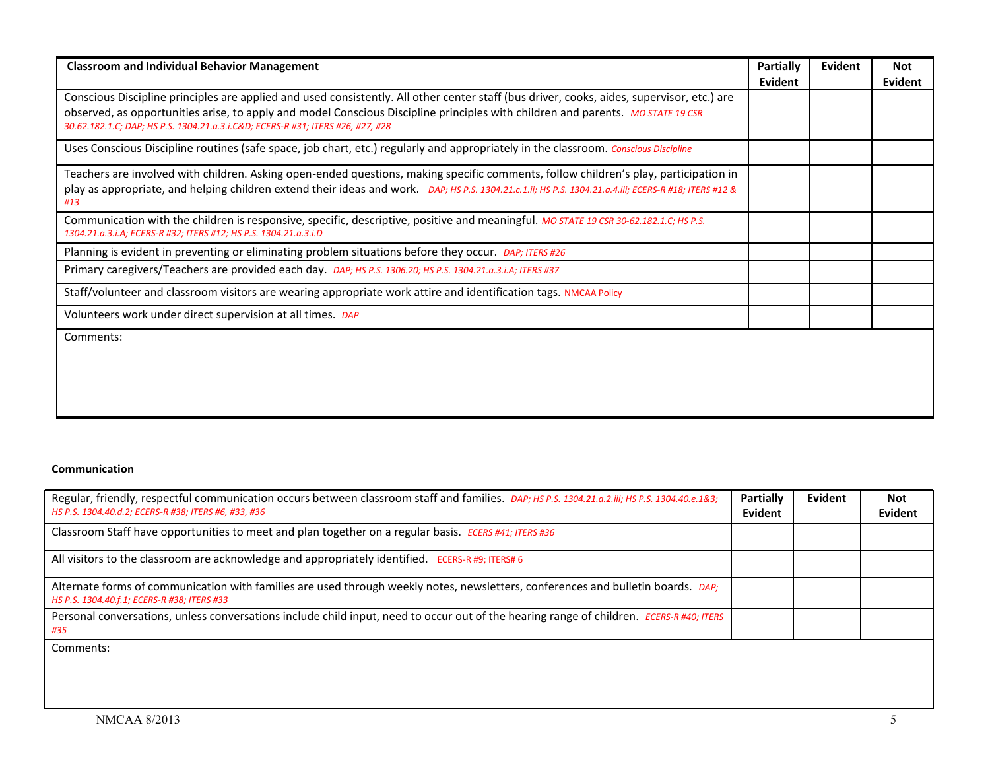| <b>Classroom and Individual Behavior Management</b>                                                                                                                                                                                                                                                                                                             | <b>Partially</b><br>Evident | <b>Evident</b> | <b>Not</b><br>Evident |
|-----------------------------------------------------------------------------------------------------------------------------------------------------------------------------------------------------------------------------------------------------------------------------------------------------------------------------------------------------------------|-----------------------------|----------------|-----------------------|
| Conscious Discipline principles are applied and used consistently. All other center staff (bus driver, cooks, aides, supervisor, etc.) are<br>observed, as opportunities arise, to apply and model Conscious Discipline principles with children and parents. MO STATE 19 CSR<br>30.62.182.1.C; DAP; HS P.S. 1304.21.a.3.i.C&D ECERS-R #31; ITERS #26, #27, #28 |                             |                |                       |
| Uses Conscious Discipline routines (safe space, job chart, etc.) regularly and appropriately in the classroom. Conscious Discipline                                                                                                                                                                                                                             |                             |                |                       |
| Teachers are involved with children. Asking open-ended questions, making specific comments, follow children's play, participation in<br>play as appropriate, and helping children extend their ideas and work. DAP; HS P.S. 1304.21.c.1.ii; HS P.S. 1304.21.a.4.iii; ECERS-R #18; ITERS #12 &<br>#13                                                            |                             |                |                       |
| Communication with the children is responsive, specific, descriptive, positive and meaningful. MO STATE 19 CSR 30-62.182.1.C; HS P.S.<br>1304.21.a.3.i.A; ECERS-R #32; ITERS #12; HS P.S. 1304.21.a.3.i.D                                                                                                                                                       |                             |                |                       |
| Planning is evident in preventing or eliminating problem situations before they occur. DAP; ITERS #26                                                                                                                                                                                                                                                           |                             |                |                       |
| Primary caregivers/Teachers are provided each day. DAP; HS P.S. 1306.20; HS P.S. 1304.21.a.3.i.A; ITERS #37                                                                                                                                                                                                                                                     |                             |                |                       |
| Staff/volunteer and classroom visitors are wearing appropriate work attire and identification tags. NMCAA Policy                                                                                                                                                                                                                                                |                             |                |                       |
| Volunteers work under direct supervision at all times. DAP                                                                                                                                                                                                                                                                                                      |                             |                |                       |
| Comments:                                                                                                                                                                                                                                                                                                                                                       |                             |                |                       |

## **Communication**

| Regular, friendly, respectful communication occurs between classroom staff and families. DAP; HS P.S. 1304.21.a.2.iii; HS P.S. 1304.40.e.1&3;<br>HS P.S. 1304.40.d.2; ECERS-R #38; ITERS #6, #33, #36 | Partially<br>Evident | Evident | Not<br>Evident |
|-------------------------------------------------------------------------------------------------------------------------------------------------------------------------------------------------------|----------------------|---------|----------------|
| Classroom Staff have opportunities to meet and plan together on a regular basis. ECERS #41; ITERS #36                                                                                                 |                      |         |                |
| All visitors to the classroom are acknowledge and appropriately identified. ECERS-R #9; ITERS# 6                                                                                                      |                      |         |                |
| Alternate forms of communication with families are used through weekly notes, newsletters, conferences and bulletin boards. DAP;<br>HS P.S. 1304.40.f.1; ECERS-R #38; ITERS #33                       |                      |         |                |
| Personal conversations, unless conversations include child input, need to occur out of the hearing range of children. ECERS-R #40; ITERS<br>#35                                                       |                      |         |                |
| Comments:                                                                                                                                                                                             |                      |         |                |
|                                                                                                                                                                                                       |                      |         |                |